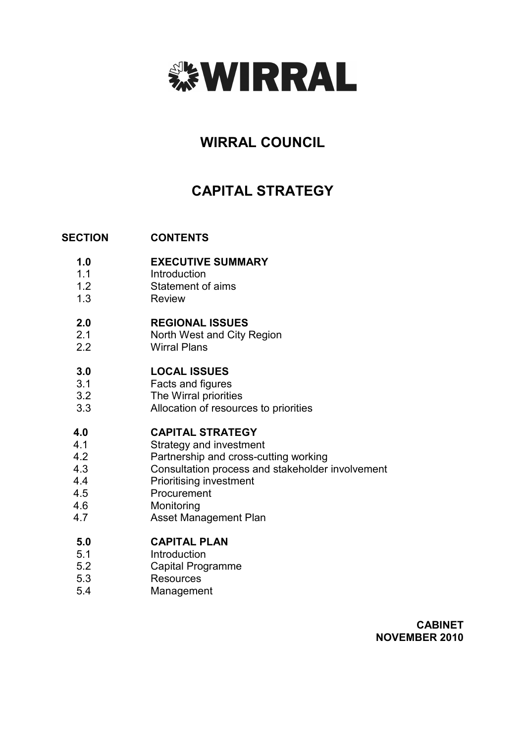

# WIRRAL COUNCIL

# CAPITAL STRATEGY

#### **SECTION CONTENTS**

- 1.0 EXECUTIVE SUMMARY
- 1.1 **Introduction**
- 1.2 Statement of aims
- 1.3 Review

#### 2.0 REGIONAL ISSUES

- 2.1 North West and City Region
- 2.2 Wirral Plans

#### 3.0 LOCAL ISSUES

- 3.1 Facts and figures
- 3.2 The Wirral priorities
- 3.3 Allocation of resources to priorities

#### 4.0 CAPITAL STRATEGY

- 4.1 Strategy and investment
- 4.2 Partnership and cross-cutting working
- 4.3 Consultation process and stakeholder involvement
- 4.4 Prioritising investment
- 4.5 Procurement
- 4.6 Monitoring
- 4.7 Asset Management Plan

#### 5.0 CAPITAL PLAN

- 5.1 **Introduction**
- 5.2 Capital Programme
- 5.3 **Resources**
- 5.4 Management

CABINET NOVEMBER 2010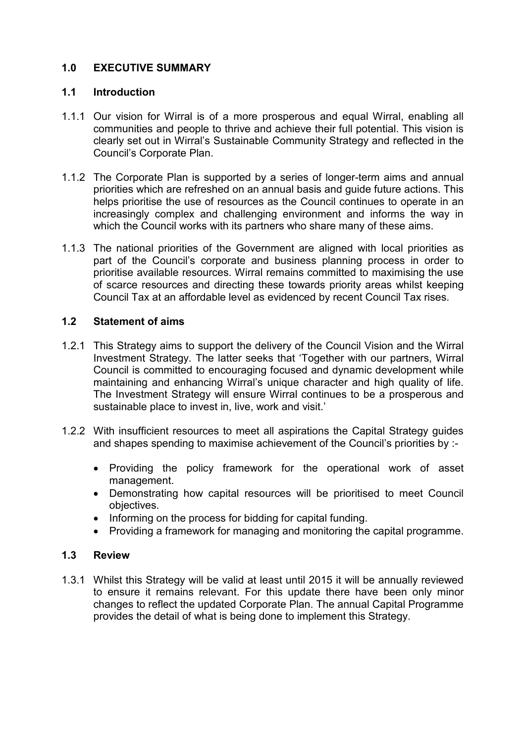# 1.0 EXECUTIVE SUMMARY

# 1.1 Introduction

- 1.1.1 Our vision for Wirral is of a more prosperous and equal Wirral, enabling all communities and people to thrive and achieve their full potential. This vision is clearly set out in Wirral's Sustainable Community Strategy and reflected in the Council's Corporate Plan.
- 1.1.2 The Corporate Plan is supported by a series of longer-term aims and annual priorities which are refreshed on an annual basis and guide future actions. This helps prioritise the use of resources as the Council continues to operate in an increasingly complex and challenging environment and informs the way in which the Council works with its partners who share many of these aims.
- 1.1.3 The national priorities of the Government are aligned with local priorities as part of the Council's corporate and business planning process in order to prioritise available resources. Wirral remains committed to maximising the use of scarce resources and directing these towards priority areas whilst keeping Council Tax at an affordable level as evidenced by recent Council Tax rises.

# 1.2 Statement of aims

- 1.2.1 This Strategy aims to support the delivery of the Council Vision and the Wirral Investment Strategy. The latter seeks that 'Together with our partners, Wirral Council is committed to encouraging focused and dynamic development while maintaining and enhancing Wirral's unique character and high quality of life. The Investment Strategy will ensure Wirral continues to be a prosperous and sustainable place to invest in, live, work and visit.'
- 1.2.2 With insufficient resources to meet all aspirations the Capital Strategy guides and shapes spending to maximise achievement of the Council's priorities by :-
	- Providing the policy framework for the operational work of asset management.
	- Demonstrating how capital resources will be prioritised to meet Council objectives.
	- Informing on the process for bidding for capital funding.
	- Providing a framework for managing and monitoring the capital programme.

# 1.3 Review

1.3.1 Whilst this Strategy will be valid at least until 2015 it will be annually reviewed to ensure it remains relevant. For this update there have been only minor changes to reflect the updated Corporate Plan. The annual Capital Programme provides the detail of what is being done to implement this Strategy.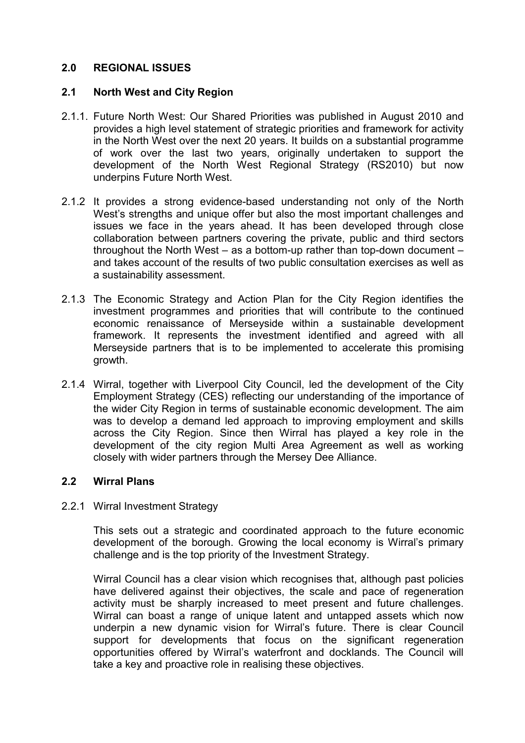# 2.0 REGIONAL ISSUES

# 2.1 North West and City Region

- 2.1.1. Future North West: Our Shared Priorities was published in August 2010 and provides a high level statement of strategic priorities and framework for activity in the North West over the next 20 years. It builds on a substantial programme of work over the last two years, originally undertaken to support the development of the North West Regional Strategy (RS2010) but now underpins Future North West.
- 2.1.2 It provides a strong evidence-based understanding not only of the North West's strengths and unique offer but also the most important challenges and issues we face in the years ahead. It has been developed through close collaboration between partners covering the private, public and third sectors throughout the North West – as a bottom-up rather than top-down document – and takes account of the results of two public consultation exercises as well as a sustainability assessment.
- 2.1.3 The Economic Strategy and Action Plan for the City Region identifies the investment programmes and priorities that will contribute to the continued economic renaissance of Merseyside within a sustainable development framework. It represents the investment identified and agreed with all Merseyside partners that is to be implemented to accelerate this promising growth.
- 2.1.4 Wirral, together with Liverpool City Council, led the development of the City Employment Strategy (CES) reflecting our understanding of the importance of the wider City Region in terms of sustainable economic development. The aim was to develop a demand led approach to improving employment and skills across the City Region. Since then Wirral has played a key role in the development of the city region Multi Area Agreement as well as working closely with wider partners through the Mersey Dee Alliance.

# 2.2 Wirral Plans

# 2.2.1 Wirral Investment Strategy

This sets out a strategic and coordinated approach to the future economic development of the borough. Growing the local economy is Wirral's primary challenge and is the top priority of the Investment Strategy.

Wirral Council has a clear vision which recognises that, although past policies have delivered against their objectives, the scale and pace of regeneration activity must be sharply increased to meet present and future challenges. Wirral can boast a range of unique latent and untapped assets which now underpin a new dynamic vision for Wirral's future. There is clear Council support for developments that focus on the significant regeneration opportunities offered by Wirral's waterfront and docklands. The Council will take a key and proactive role in realising these objectives.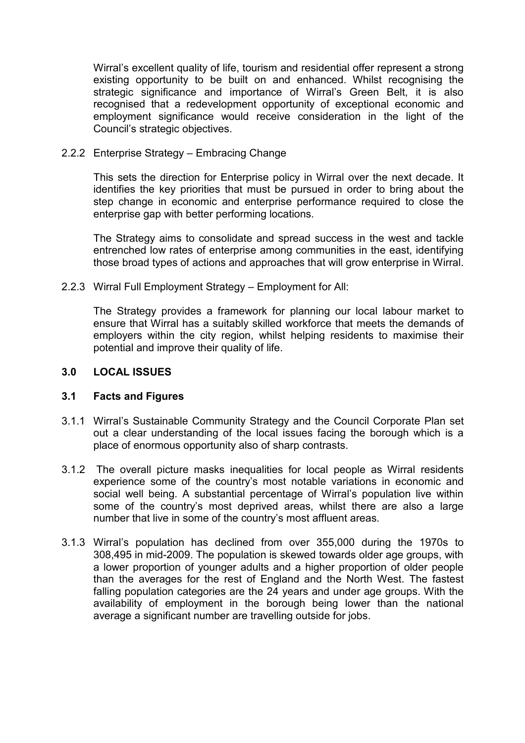Wirral's excellent quality of life, tourism and residential offer represent a strong existing opportunity to be built on and enhanced. Whilst recognising the strategic significance and importance of Wirral's Green Belt, it is also recognised that a redevelopment opportunity of exceptional economic and employment significance would receive consideration in the light of the Council's strategic objectives.

# 2.2.2 Enterprise Strategy – Embracing Change

This sets the direction for Enterprise policy in Wirral over the next decade. It identifies the key priorities that must be pursued in order to bring about the step change in economic and enterprise performance required to close the enterprise gap with better performing locations.

The Strategy aims to consolidate and spread success in the west and tackle entrenched low rates of enterprise among communities in the east, identifying those broad types of actions and approaches that will grow enterprise in Wirral.

2.2.3 Wirral Full Employment Strategy – Employment for All:

The Strategy provides a framework for planning our local labour market to ensure that Wirral has a suitably skilled workforce that meets the demands of employers within the city region, whilst helping residents to maximise their potential and improve their quality of life.

# 3.0 LOCAL ISSUES

### 3.1 Facts and Figures

- 3.1.1 Wirral's Sustainable Community Strategy and the Council Corporate Plan set out a clear understanding of the local issues facing the borough which is a place of enormous opportunity also of sharp contrasts.
- 3.1.2 The overall picture masks inequalities for local people as Wirral residents experience some of the country's most notable variations in economic and social well being. A substantial percentage of Wirral's population live within some of the country's most deprived areas, whilst there are also a large number that live in some of the country's most affluent areas.
- 3.1.3 Wirral's population has declined from over 355,000 during the 1970s to 308,495 in mid-2009. The population is skewed towards older age groups, with a lower proportion of younger adults and a higher proportion of older people than the averages for the rest of England and the North West. The fastest falling population categories are the 24 years and under age groups. With the availability of employment in the borough being lower than the national average a significant number are travelling outside for jobs.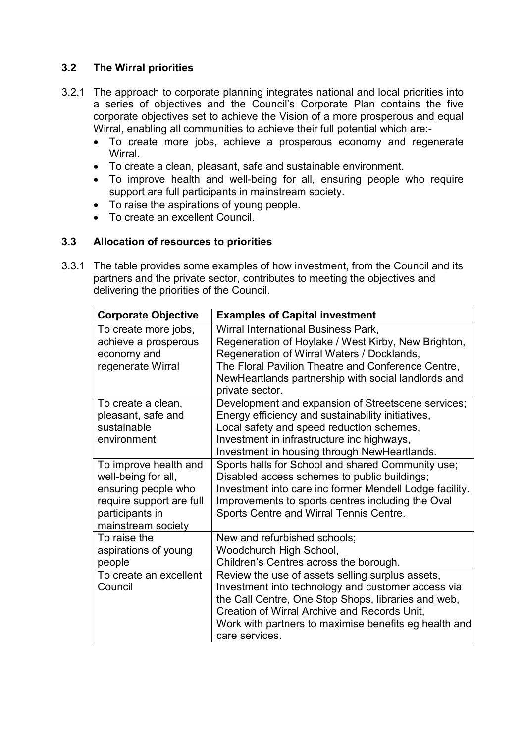# 3.2 The Wirral priorities

- 3.2.1 The approach to corporate planning integrates national and local priorities into a series of objectives and the Council's Corporate Plan contains the five corporate objectives set to achieve the Vision of a more prosperous and equal Wirral, enabling all communities to achieve their full potential which are:-
	- To create more jobs, achieve a prosperous economy and regenerate **Wirral**
	- To create a clean, pleasant, safe and sustainable environment.
	- To improve health and well-being for all, ensuring people who require support are full participants in mainstream society.
	- To raise the aspirations of young people.
	- To create an excellent Council.

# 3.3 Allocation of resources to priorities

3.3.1 The table provides some examples of how investment, from the Council and its partners and the private sector, contributes to meeting the objectives and delivering the priorities of the Council.

| <b>Corporate Objective</b>                                                                                                               | <b>Examples of Capital investment</b>                                                                                                                                                                                                                                                    |
|------------------------------------------------------------------------------------------------------------------------------------------|------------------------------------------------------------------------------------------------------------------------------------------------------------------------------------------------------------------------------------------------------------------------------------------|
| To create more jobs,<br>achieve a prosperous<br>economy and<br>regenerate Wirral                                                         | Wirral International Business Park,<br>Regeneration of Hoylake / West Kirby, New Brighton,<br>Regeneration of Wirral Waters / Docklands,<br>The Floral Pavilion Theatre and Conference Centre,<br>NewHeartlands partnership with social landlords and<br>private sector.                 |
| To create a clean,<br>pleasant, safe and<br>sustainable<br>environment                                                                   | Development and expansion of Streetscene services;<br>Energy efficiency and sustainability initiatives,<br>Local safety and speed reduction schemes,<br>Investment in infrastructure inc highways,<br>Investment in housing through NewHeartlands.                                       |
| To improve health and<br>well-being for all,<br>ensuring people who<br>require support are full<br>participants in<br>mainstream society | Sports halls for School and shared Community use;<br>Disabled access schemes to public buildings;<br>Investment into care inc former Mendell Lodge facility.<br>Improvements to sports centres including the Oval<br>Sports Centre and Wirral Tennis Centre.                             |
| To raise the<br>aspirations of young<br>people                                                                                           | New and refurbished schools;<br>Woodchurch High School,<br>Children's Centres across the borough.                                                                                                                                                                                        |
| To create an excellent<br>Council                                                                                                        | Review the use of assets selling surplus assets,<br>Investment into technology and customer access via<br>the Call Centre, One Stop Shops, libraries and web,<br>Creation of Wirral Archive and Records Unit,<br>Work with partners to maximise benefits eg health and<br>care services. |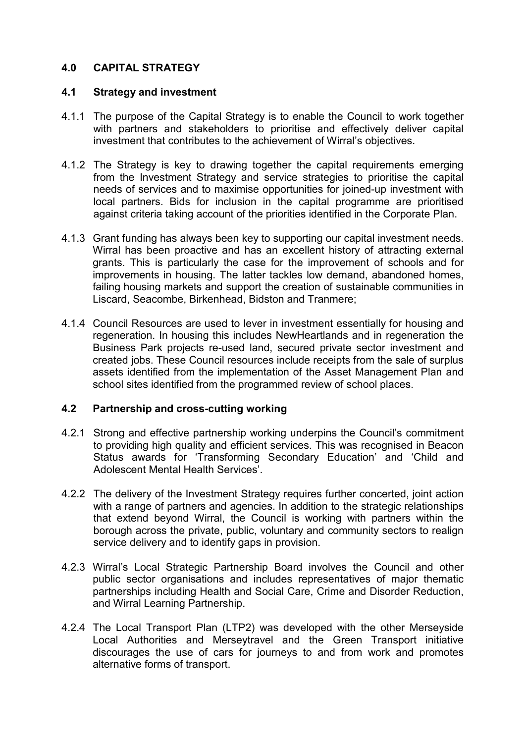# 4.0 CAPITAL STRATEGY

# 4.1 Strategy and investment

- 4.1.1 The purpose of the Capital Strategy is to enable the Council to work together with partners and stakeholders to prioritise and effectively deliver capital investment that contributes to the achievement of Wirral's objectives.
- 4.1.2 The Strategy is key to drawing together the capital requirements emerging from the Investment Strategy and service strategies to prioritise the capital needs of services and to maximise opportunities for joined-up investment with local partners. Bids for inclusion in the capital programme are prioritised against criteria taking account of the priorities identified in the Corporate Plan.
- 4.1.3 Grant funding has always been key to supporting our capital investment needs. Wirral has been proactive and has an excellent history of attracting external grants. This is particularly the case for the improvement of schools and for improvements in housing. The latter tackles low demand, abandoned homes, failing housing markets and support the creation of sustainable communities in Liscard, Seacombe, Birkenhead, Bidston and Tranmere;
- 4.1.4 Council Resources are used to lever in investment essentially for housing and regeneration. In housing this includes NewHeartlands and in regeneration the Business Park projects re-used land, secured private sector investment and created jobs. These Council resources include receipts from the sale of surplus assets identified from the implementation of the Asset Management Plan and school sites identified from the programmed review of school places.

# 4.2 Partnership and cross-cutting working

- 4.2.1 Strong and effective partnership working underpins the Council's commitment to providing high quality and efficient services. This was recognised in Beacon Status awards for 'Transforming Secondary Education' and 'Child and Adolescent Mental Health Services'.
- 4.2.2 The delivery of the Investment Strategy requires further concerted, joint action with a range of partners and agencies. In addition to the strategic relationships that extend beyond Wirral, the Council is working with partners within the borough across the private, public, voluntary and community sectors to realign service delivery and to identify gaps in provision.
- 4.2.3 Wirral's Local Strategic Partnership Board involves the Council and other public sector organisations and includes representatives of major thematic partnerships including Health and Social Care, Crime and Disorder Reduction, and Wirral Learning Partnership.
- 4.2.4 The Local Transport Plan (LTP2) was developed with the other Merseyside Local Authorities and Merseytravel and the Green Transport initiative discourages the use of cars for journeys to and from work and promotes alternative forms of transport.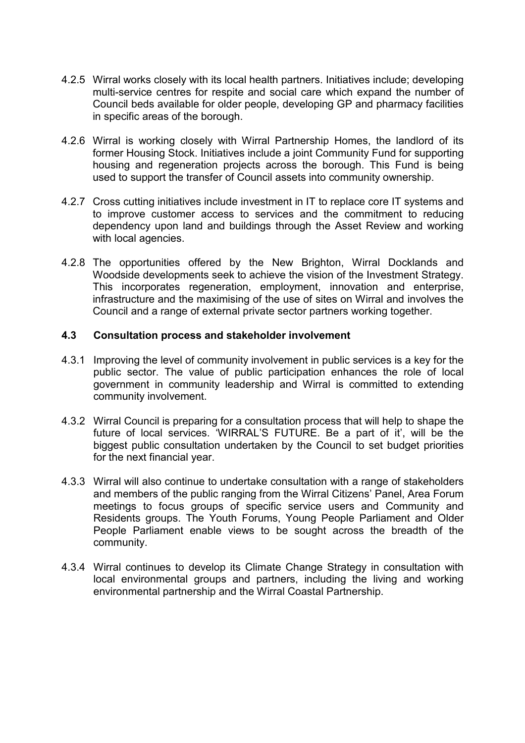- 4.2.5 Wirral works closely with its local health partners. Initiatives include; developing multi-service centres for respite and social care which expand the number of Council beds available for older people, developing GP and pharmacy facilities in specific areas of the borough.
- 4.2.6 Wirral is working closely with Wirral Partnership Homes, the landlord of its former Housing Stock. Initiatives include a joint Community Fund for supporting housing and regeneration projects across the borough. This Fund is being used to support the transfer of Council assets into community ownership.
- 4.2.7 Cross cutting initiatives include investment in IT to replace core IT systems and to improve customer access to services and the commitment to reducing dependency upon land and buildings through the Asset Review and working with local agencies.
- 4.2.8 The opportunities offered by the New Brighton, Wirral Docklands and Woodside developments seek to achieve the vision of the Investment Strategy. This incorporates regeneration, employment, innovation and enterprise, infrastructure and the maximising of the use of sites on Wirral and involves the Council and a range of external private sector partners working together.

# 4.3 Consultation process and stakeholder involvement

- 4.3.1 Improving the level of community involvement in public services is a key for the public sector. The value of public participation enhances the role of local government in community leadership and Wirral is committed to extending community involvement.
- 4.3.2 Wirral Council is preparing for a consultation process that will help to shape the future of local services. 'WIRRAL'S FUTURE. Be a part of it', will be the biggest public consultation undertaken by the Council to set budget priorities for the next financial year.
- 4.3.3 Wirral will also continue to undertake consultation with a range of stakeholders and members of the public ranging from the Wirral Citizens' Panel, Area Forum meetings to focus groups of specific service users and Community and Residents groups. The Youth Forums, Young People Parliament and Older People Parliament enable views to be sought across the breadth of the community.
- 4.3.4 Wirral continues to develop its Climate Change Strategy in consultation with local environmental groups and partners, including the living and working environmental partnership and the Wirral Coastal Partnership.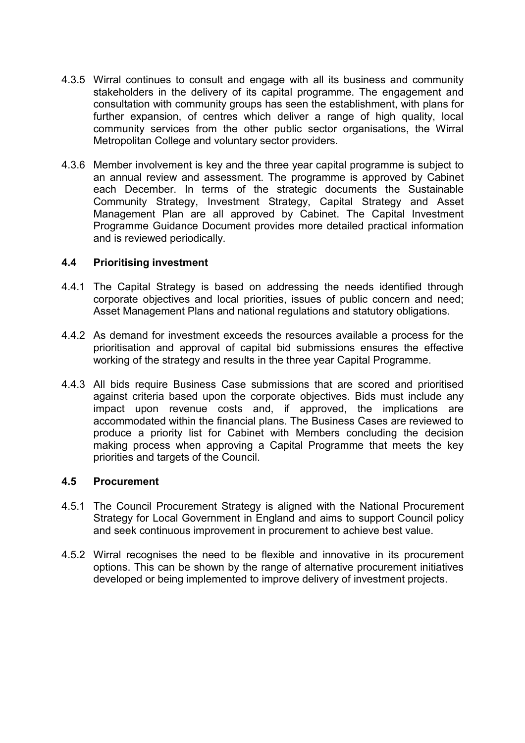- 4.3.5 Wirral continues to consult and engage with all its business and community stakeholders in the delivery of its capital programme. The engagement and consultation with community groups has seen the establishment, with plans for further expansion, of centres which deliver a range of high quality, local community services from the other public sector organisations, the Wirral Metropolitan College and voluntary sector providers.
- 4.3.6 Member involvement is key and the three year capital programme is subject to an annual review and assessment. The programme is approved by Cabinet each December. In terms of the strategic documents the Sustainable Community Strategy, Investment Strategy, Capital Strategy and Asset Management Plan are all approved by Cabinet. The Capital Investment Programme Guidance Document provides more detailed practical information and is reviewed periodically.

# 4.4 Prioritising investment

- 4.4.1 The Capital Strategy is based on addressing the needs identified through corporate objectives and local priorities, issues of public concern and need; Asset Management Plans and national regulations and statutory obligations.
- 4.4.2 As demand for investment exceeds the resources available a process for the prioritisation and approval of capital bid submissions ensures the effective working of the strategy and results in the three year Capital Programme.
- 4.4.3 All bids require Business Case submissions that are scored and prioritised against criteria based upon the corporate objectives. Bids must include any impact upon revenue costs and, if approved, the implications are accommodated within the financial plans. The Business Cases are reviewed to produce a priority list for Cabinet with Members concluding the decision making process when approving a Capital Programme that meets the key priorities and targets of the Council.

# 4.5 Procurement

- 4.5.1 The Council Procurement Strategy is aligned with the National Procurement Strategy for Local Government in England and aims to support Council policy and seek continuous improvement in procurement to achieve best value.
- 4.5.2 Wirral recognises the need to be flexible and innovative in its procurement options. This can be shown by the range of alternative procurement initiatives developed or being implemented to improve delivery of investment projects.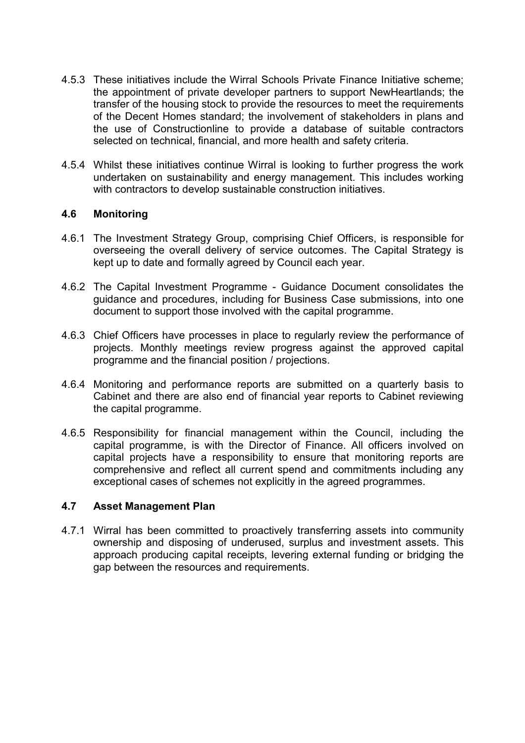- 4.5.3 These initiatives include the Wirral Schools Private Finance Initiative scheme; the appointment of private developer partners to support NewHeartlands; the transfer of the housing stock to provide the resources to meet the requirements of the Decent Homes standard; the involvement of stakeholders in plans and the use of Constructionline to provide a database of suitable contractors selected on technical, financial, and more health and safety criteria.
- 4.5.4 Whilst these initiatives continue Wirral is looking to further progress the work undertaken on sustainability and energy management. This includes working with contractors to develop sustainable construction initiatives.

# 4.6 Monitoring

- 4.6.1 The Investment Strategy Group, comprising Chief Officers, is responsible for overseeing the overall delivery of service outcomes. The Capital Strategy is kept up to date and formally agreed by Council each year.
- 4.6.2 The Capital Investment Programme Guidance Document consolidates the guidance and procedures, including for Business Case submissions, into one document to support those involved with the capital programme.
- 4.6.3 Chief Officers have processes in place to regularly review the performance of projects. Monthly meetings review progress against the approved capital programme and the financial position / projections.
- 4.6.4 Monitoring and performance reports are submitted on a quarterly basis to Cabinet and there are also end of financial year reports to Cabinet reviewing the capital programme.
- 4.6.5 Responsibility for financial management within the Council, including the capital programme, is with the Director of Finance. All officers involved on capital projects have a responsibility to ensure that monitoring reports are comprehensive and reflect all current spend and commitments including any exceptional cases of schemes not explicitly in the agreed programmes.

# 4.7 Asset Management Plan

4.7.1 Wirral has been committed to proactively transferring assets into community ownership and disposing of underused, surplus and investment assets. This approach producing capital receipts, levering external funding or bridging the gap between the resources and requirements.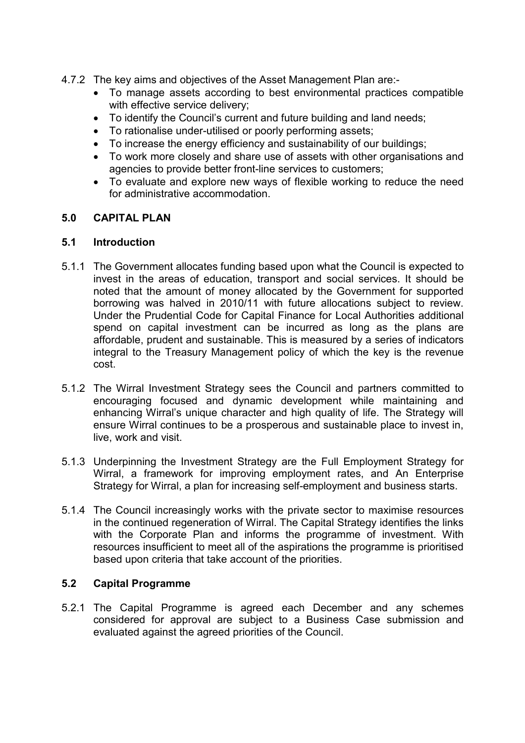- 4.7.2 The key aims and objectives of the Asset Management Plan are:-
	- To manage assets according to best environmental practices compatible with effective service delivery;
	- To identify the Council's current and future building and land needs;
	- To rationalise under-utilised or poorly performing assets;
	- To increase the energy efficiency and sustainability of our buildings;
	- To work more closely and share use of assets with other organisations and agencies to provide better front-line services to customers;
	- To evaluate and explore new ways of flexible working to reduce the need for administrative accommodation.

# 5.0 CAPITAL PLAN

# 5.1 Introduction

- 5.1.1 The Government allocates funding based upon what the Council is expected to invest in the areas of education, transport and social services. It should be noted that the amount of money allocated by the Government for supported borrowing was halved in 2010/11 with future allocations subject to review. Under the Prudential Code for Capital Finance for Local Authorities additional spend on capital investment can be incurred as long as the plans are affordable, prudent and sustainable. This is measured by a series of indicators integral to the Treasury Management policy of which the key is the revenue cost.
- 5.1.2 The Wirral Investment Strategy sees the Council and partners committed to encouraging focused and dynamic development while maintaining and enhancing Wirral's unique character and high quality of life. The Strategy will ensure Wirral continues to be a prosperous and sustainable place to invest in, live, work and visit.
- 5.1.3 Underpinning the Investment Strategy are the Full Employment Strategy for Wirral, a framework for improving employment rates, and An Enterprise Strategy for Wirral, a plan for increasing self-employment and business starts.
- 5.1.4 The Council increasingly works with the private sector to maximise resources in the continued regeneration of Wirral. The Capital Strategy identifies the links with the Corporate Plan and informs the programme of investment. With resources insufficient to meet all of the aspirations the programme is prioritised based upon criteria that take account of the priorities.

# 5.2 Capital Programme

5.2.1 The Capital Programme is agreed each December and any schemes considered for approval are subject to a Business Case submission and evaluated against the agreed priorities of the Council.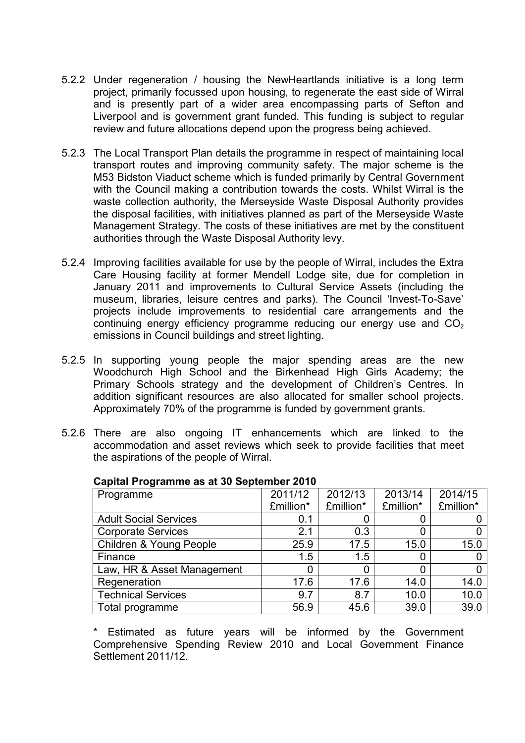- 5.2.2 Under regeneration / housing the NewHeartlands initiative is a long term project, primarily focussed upon housing, to regenerate the east side of Wirral and is presently part of a wider area encompassing parts of Sefton and Liverpool and is government grant funded. This funding is subject to regular review and future allocations depend upon the progress being achieved.
- 5.2.3 The Local Transport Plan details the programme in respect of maintaining local transport routes and improving community safety. The major scheme is the M53 Bidston Viaduct scheme which is funded primarily by Central Government with the Council making a contribution towards the costs. Whilst Wirral is the waste collection authority, the Merseyside Waste Disposal Authority provides the disposal facilities, with initiatives planned as part of the Merseyside Waste Management Strategy. The costs of these initiatives are met by the constituent authorities through the Waste Disposal Authority levy.
- 5.2.4 Improving facilities available for use by the people of Wirral, includes the Extra Care Housing facility at former Mendell Lodge site, due for completion in January 2011 and improvements to Cultural Service Assets (including the museum, libraries, leisure centres and parks). The Council 'Invest-To-Save' projects include improvements to residential care arrangements and the continuing energy efficiency programme reducing our energy use and  $CO<sub>2</sub>$ emissions in Council buildings and street lighting.
- 5.2.5 In supporting young people the major spending areas are the new Woodchurch High School and the Birkenhead High Girls Academy; the Primary Schools strategy and the development of Children's Centres. In addition significant resources are also allocated for smaller school projects. Approximately 70% of the programme is funded by government grants.
- 5.2.6 There are also ongoing IT enhancements which are linked to the accommodation and asset reviews which seek to provide facilities that meet the aspirations of the people of Wirral.

| Programme                    | 2011/12   | 2012/13   | 2013/14   | 2014/15   |
|------------------------------|-----------|-----------|-----------|-----------|
|                              | £million* | £million* | £million* | £million* |
| <b>Adult Social Services</b> | 0.1       |           |           |           |
| <b>Corporate Services</b>    | 2.1       | 0.3       |           |           |
| Children & Young People      | 25.9      | 17.5      | 15.0      | 15.0      |
| Finance                      | 1.5       | 1.5       | 0         |           |
| Law, HR & Asset Management   |           | 0         |           |           |
| Regeneration                 | 17.6      | 17.6      | 14.0      | 14.0      |
| <b>Technical Services</b>    | 9.7       | 8.7       | 10.0      | 10.0      |
| Total programme              | 56.9      | 45.6      | 39.0      | 39.0      |

### Capital Programme as at 30 September 2010

\* Estimated as future years will be informed by the Government Comprehensive Spending Review 2010 and Local Government Finance Settlement 2011/12.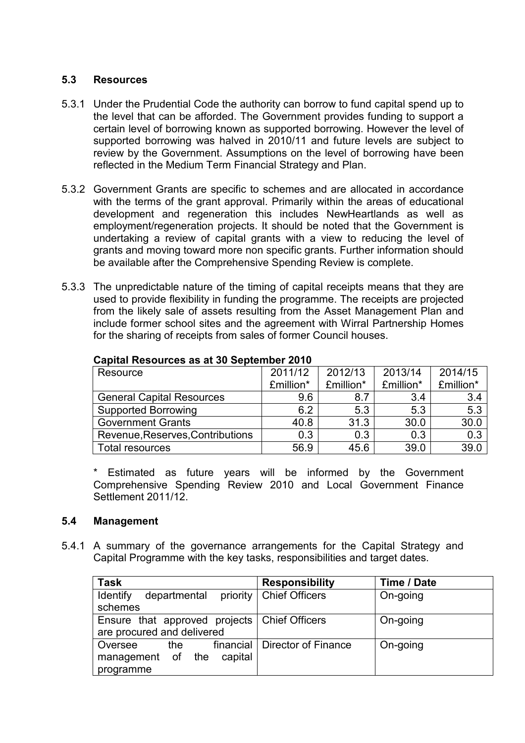# 5.3 Resources

- 5.3.1 Under the Prudential Code the authority can borrow to fund capital spend up to the level that can be afforded. The Government provides funding to support a certain level of borrowing known as supported borrowing. However the level of supported borrowing was halved in 2010/11 and future levels are subject to review by the Government. Assumptions on the level of borrowing have been reflected in the Medium Term Financial Strategy and Plan.
- 5.3.2 Government Grants are specific to schemes and are allocated in accordance with the terms of the grant approval. Primarily within the areas of educational development and regeneration this includes NewHeartlands as well as employment/regeneration projects. It should be noted that the Government is undertaking a review of capital grants with a view to reducing the level of grants and moving toward more non specific grants. Further information should be available after the Comprehensive Spending Review is complete.
- 5.3.3 The unpredictable nature of the timing of capital receipts means that they are used to provide flexibility in funding the programme. The receipts are projected from the likely sale of assets resulting from the Asset Management Plan and include former school sites and the agreement with Wirral Partnership Homes for the sharing of receipts from sales of former Council houses.

| Resource                         | 2011/12   | 2012/13   | 2013/14   | 2014/15          |
|----------------------------------|-----------|-----------|-----------|------------------|
|                                  | £million* | £million* | £million* | £million*        |
| <b>General Capital Resources</b> | 9.6       | 8.7       | 3.4       | 3.4              |
| <b>Supported Borrowing</b>       | 6.2       | 5.3       | 5.3       | 5.3              |
| <b>Government Grants</b>         | 40.8      | 31.3      | 30.0      | 30.0             |
| Revenue, Reserves, Contributions | 0.3       | 0.3       | 0.3       | $\overline{0.3}$ |
| Total resources                  | 56.9      | 45.6      | 39.0      | 39.0             |

### Capital Resources as at 30 September 2010

\* Estimated as future years will be informed by the Government Comprehensive Spending Review 2010 and Local Government Finance Settlement 2011/12.

# 5.4 Management

5.4.1 A summary of the governance arrangements for the Capital Strategy and Capital Programme with the key tasks, responsibilities and target dates.

| <b>Task</b>                                    | <b>Responsibility</b>           | Time / Date |
|------------------------------------------------|---------------------------------|-------------|
| <b>Identify</b><br>departmental                | priority   Chief Officers       | On-going    |
| schemes                                        |                                 |             |
| Ensure that approved projects   Chief Officers |                                 | On-going    |
| are procured and delivered                     |                                 |             |
| the<br>Oversee                                 | financial   Director of Finance | On-going    |
| capital<br>management of the                   |                                 |             |
| programme                                      |                                 |             |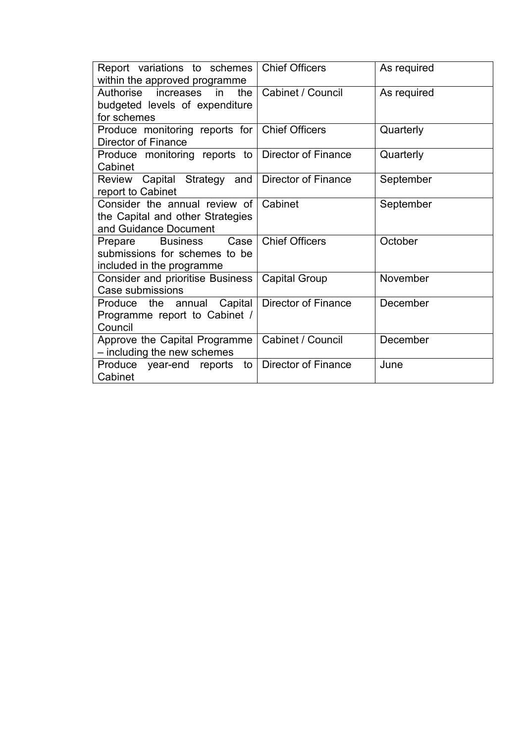| Report variations to schemes<br>within the approved programme                                    | <b>Chief Officers</b>      | As required |
|--------------------------------------------------------------------------------------------------|----------------------------|-------------|
| Authorise increases in<br>the<br>budgeted levels of expenditure<br>for schemes                   | Cabinet / Council          | As required |
| Produce monitoring reports for<br>Director of Finance                                            | <b>Chief Officers</b>      | Quarterly   |
| Produce monitoring reports to<br>Cabinet                                                         | <b>Director of Finance</b> | Quarterly   |
| Review Capital Strategy and<br>report to Cabinet                                                 | <b>Director of Finance</b> | September   |
| Consider the annual review of<br>the Capital and other Strategies<br>and Guidance Document       | Cabinet                    | September   |
| <b>Business</b><br>Case<br>Prepare<br>submissions for schemes to be<br>included in the programme | <b>Chief Officers</b>      | October     |
| <b>Consider and prioritise Business</b><br>Case submissions                                      | <b>Capital Group</b>       | November    |
| Capital<br>Produce<br>annual<br>the<br>Programme report to Cabinet /<br>Council                  | Director of Finance        | December    |
| Approve the Capital Programme<br>- including the new schemes                                     | Cabinet / Council          | December    |
| Produce year-end<br>reports<br>to I<br>Cabinet                                                   | <b>Director of Finance</b> | June        |